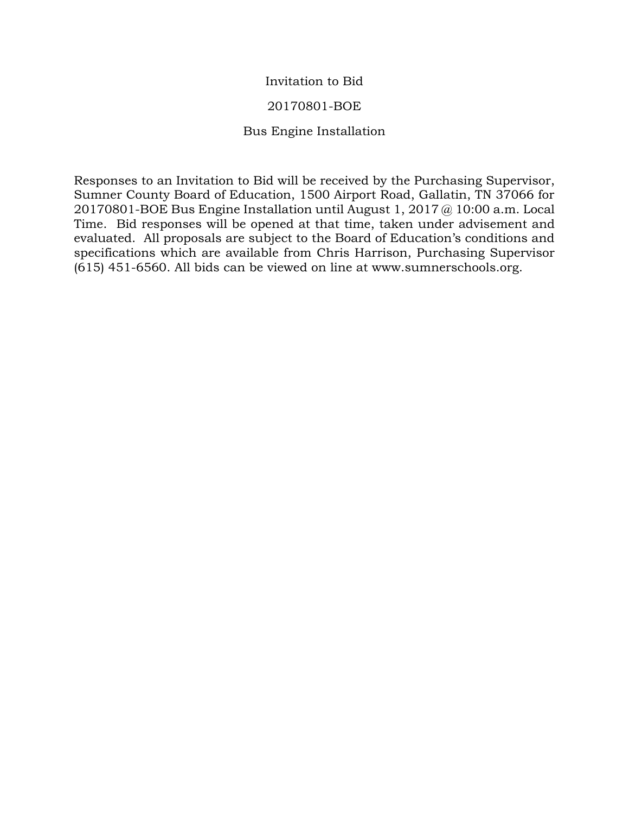# Invitation to Bid

### 20170801-BOE

# Bus Engine Installation

Responses to an Invitation to Bid will be received by the Purchasing Supervisor, Sumner County Board of Education, 1500 Airport Road, Gallatin, TN 37066 for 20170801-BOE Bus Engine Installation until August 1, 2017 @ 10:00 a.m. Local Time. Bid responses will be opened at that time, taken under advisement and evaluated. All proposals are subject to the Board of Education's conditions and specifications which are available from Chris Harrison, Purchasing Supervisor (615) 451-6560. All bids can be viewed on line at www.sumnerschools.org.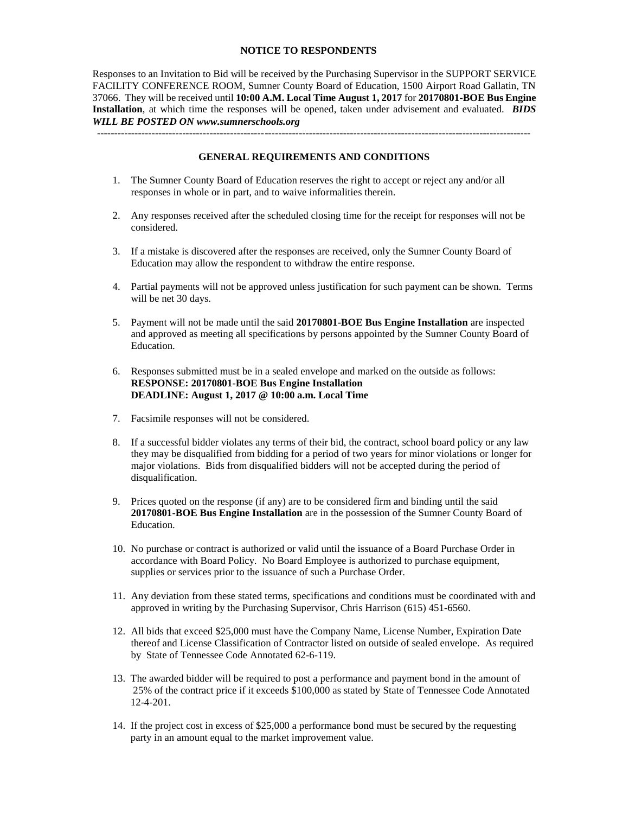#### **NOTICE TO RESPONDENTS**

Responses to an Invitation to Bid will be received by the Purchasing Supervisor in the SUPPORT SERVICE FACILITY CONFERENCE ROOM, Sumner County Board of Education, 1500 Airport Road Gallatin, TN 37066. They will be received until **10:00 A.M. Local Time August 1, 2017** for **20170801-BOE Bus Engine Installation**, at which time the responses will be opened, taken under advisement and evaluated. *BIDS WILL BE POSTED ON www.sumnerschools.org*

**GENERAL REQUIREMENTS AND CONDITIONS**

-------------------------------------------------------------------------------------------------------------------------------

- 1. The Sumner County Board of Education reserves the right to accept or reject any and/or all responses in whole or in part, and to waive informalities therein.
- 2. Any responses received after the scheduled closing time for the receipt for responses will not be considered.
- 3. If a mistake is discovered after the responses are received, only the Sumner County Board of Education may allow the respondent to withdraw the entire response.
- 4. Partial payments will not be approved unless justification for such payment can be shown. Terms will be net 30 days.
- 5. Payment will not be made until the said **20170801-BOE Bus Engine Installation** are inspected and approved as meeting all specifications by persons appointed by the Sumner County Board of Education.
- 6. Responses submitted must be in a sealed envelope and marked on the outside as follows: **RESPONSE: 20170801-BOE Bus Engine Installation DEADLINE: August 1, 2017 @ 10:00 a.m. Local Time**
- 7. Facsimile responses will not be considered.
- 8. If a successful bidder violates any terms of their bid, the contract, school board policy or any law they may be disqualified from bidding for a period of two years for minor violations or longer for major violations. Bids from disqualified bidders will not be accepted during the period of disqualification.
- 9. Prices quoted on the response (if any) are to be considered firm and binding until the said **20170801-BOE Bus Engine Installation** are in the possession of the Sumner County Board of Education.
- 10. No purchase or contract is authorized or valid until the issuance of a Board Purchase Order in accordance with Board Policy. No Board Employee is authorized to purchase equipment, supplies or services prior to the issuance of such a Purchase Order.
- 11. Any deviation from these stated terms, specifications and conditions must be coordinated with and approved in writing by the Purchasing Supervisor, Chris Harrison (615) 451-6560.
- 12. All bids that exceed \$25,000 must have the Company Name, License Number, Expiration Date thereof and License Classification of Contractor listed on outside of sealed envelope. As required by State of Tennessee Code Annotated 62-6-119.
- 13. The awarded bidder will be required to post a performance and payment bond in the amount of 25% of the contract price if it exceeds \$100,000 as stated by State of Tennessee Code Annotated 12-4-201.
- 14. If the project cost in excess of \$25,000 a performance bond must be secured by the requesting party in an amount equal to the market improvement value.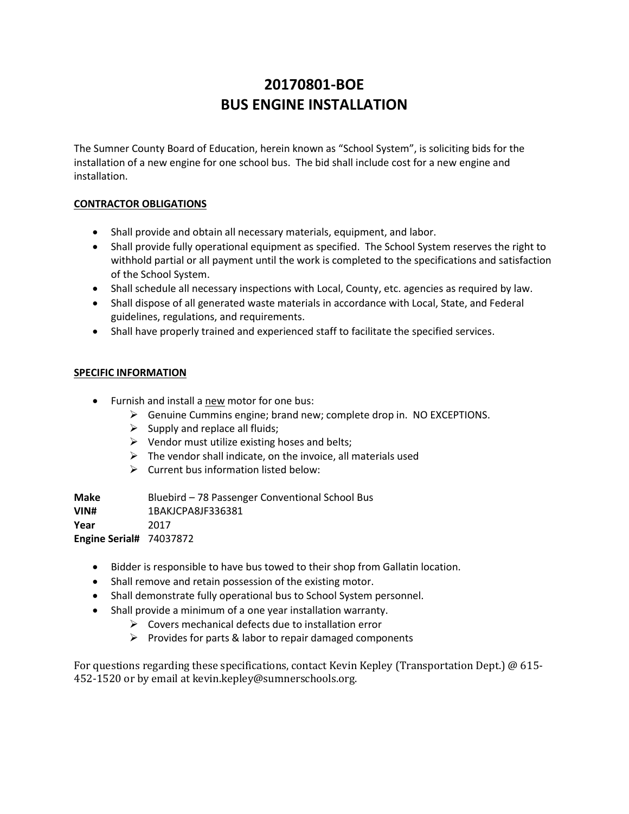# **20170801-BOE BUS ENGINE INSTALLATION**

The Sumner County Board of Education, herein known as "School System", is soliciting bids for the installation of a new engine for one school bus. The bid shall include cost for a new engine and installation.

### **CONTRACTOR OBLIGATIONS**

- Shall provide and obtain all necessary materials, equipment, and labor.
- Shall provide fully operational equipment as specified. The School System reserves the right to withhold partial or all payment until the work is completed to the specifications and satisfaction of the School System.
- Shall schedule all necessary inspections with Local, County, etc. agencies as required by law.
- Shall dispose of all generated waste materials in accordance with Local, State, and Federal guidelines, regulations, and requirements.
- Shall have properly trained and experienced staff to facilitate the specified services.

### **SPECIFIC INFORMATION**

- Furnish and install a new motor for one bus:
	- $\triangleright$  Genuine Cummins engine; brand new; complete drop in. NO EXCEPTIONS.
	- $\triangleright$  Supply and replace all fluids;
	- $\triangleright$  Vendor must utilize existing hoses and belts;
	- $\triangleright$  The vendor shall indicate, on the invoice, all materials used
	- $\triangleright$  Current bus information listed below:

**Make** Bluebird – 78 Passenger Conventional School Bus **VIN#** 1BAKJCPA8JF336381 **Year** 2017 **Engine Serial#** 74037872

- Bidder is responsible to have bus towed to their shop from Gallatin location.
- Shall remove and retain possession of the existing motor.
- Shall demonstrate fully operational bus to School System personnel.
- Shall provide a minimum of a one year installation warranty.
	- $\triangleright$  Covers mechanical defects due to installation error
	- $\triangleright$  Provides for parts & labor to repair damaged components

For questions regarding these specifications, contact Kevin Kepley (Transportation Dept.) @ 615- 452-1520 or by email at kevin.kepley@sumnerschools.org.